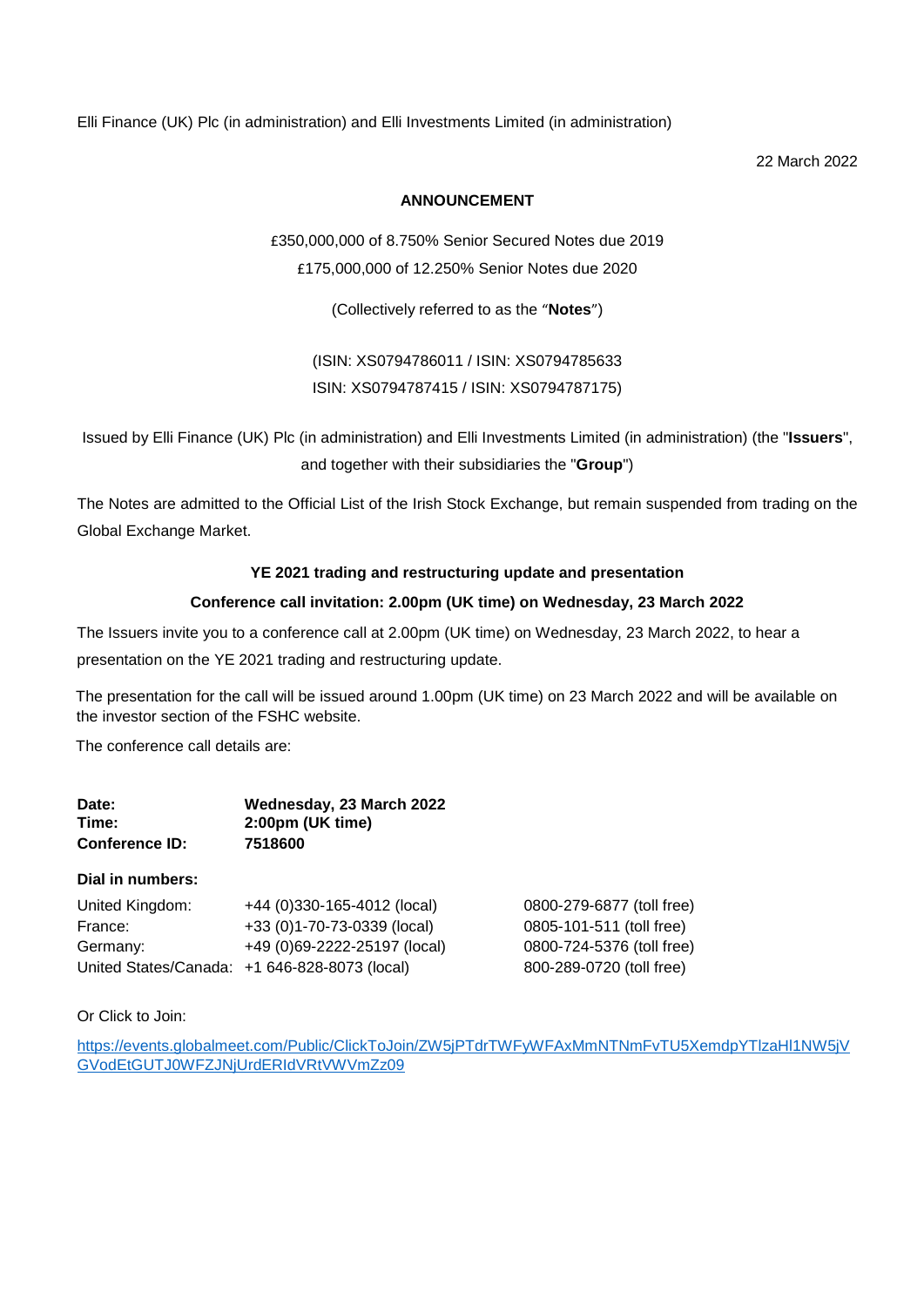Elli Finance (UK) Plc (in administration) and Elli Investments Limited (in administration)

22 March 2022

# **ANNOUNCEMENT**

£350,000,000 of 8.750% Senior Secured Notes due 2019

£175,000,000 of 12.250% Senior Notes due 2020

(Collectively referred to as the "**Notes**")

(ISIN: XS0794786011 / ISIN: XS0794785633 ISIN: XS0794787415 / ISIN: XS0794787175)

Issued by Elli Finance (UK) Plc (in administration) and Elli Investments Limited (in administration) (the "**Issuers**", and together with their subsidiaries the "**Group**")

The Notes are admitted to the Official List of the Irish Stock Exchange, but remain suspended from trading on the Global Exchange Market.

# **YE 2021 trading and restructuring update and presentation**

# **Conference call invitation: 2.00pm (UK time) on Wednesday, 23 March 2022**

The Issuers invite you to a conference call at 2.00pm (UK time) on Wednesday, 23 March 2022, to hear a presentation on the YE 2021 trading and restructuring update.

The presentation for the call will be issued around 1.00pm (UK time) on 23 March 2022 and will be available on the investor section of the FSHC website.

The conference call details are:

| Date:                 | Wednesday, 23 March 2022 |
|-----------------------|--------------------------|
| Time:                 | 2:00pm (UK time)         |
| <b>Conference ID:</b> | 7518600                  |

# **Dial in numbers:**

| United Kingdom: | +44 (0)330-165-4012 (local)                   | 0800-279-6877 (toll free) |
|-----------------|-----------------------------------------------|---------------------------|
| France:         | +33 (0)1-70-73-0339 (local)                   | 0805-101-511 (toll free)  |
| Germany:        | +49 (0)69-2222-25197 (local)                  | 0800-724-5376 (toll free) |
|                 | United States/Canada: +1 646-828-8073 (local) | 800-289-0720 (toll free)  |

# Or Click to Join:

[https://events.globalmeet.com/Public/ClickToJoin/ZW5jPTdrTWFyWFAxMmNTNmFvTU5XemdpYTlzaHl1NW5jV](https://events.globalmeet.com/Public/ClickToJoin/ZW5jPTdrTWFyWFAxMmNTNmFvTU5XemdpYTlzaHl1NW5jVGVodEtGUTJ0WFZJNjUrdERIdVRtVWVmZz09) [GVodEtGUTJ0WFZJNjUrdERIdVRtVWVmZz09](https://events.globalmeet.com/Public/ClickToJoin/ZW5jPTdrTWFyWFAxMmNTNmFvTU5XemdpYTlzaHl1NW5jVGVodEtGUTJ0WFZJNjUrdERIdVRtVWVmZz09)